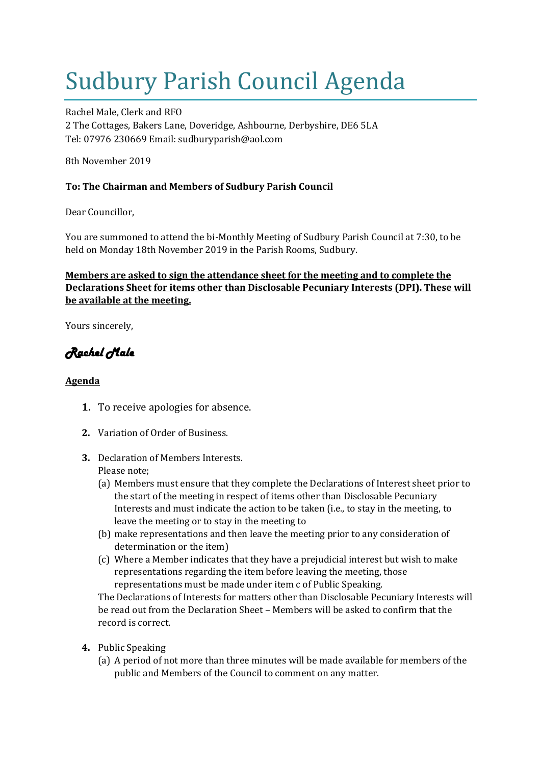# Sudbury Parish Council Agenda

Rachel Male, Clerk and RFO 2 The Cottages, Bakers Lane, Doveridge, Ashbourne, Derbyshire, DE6 5LA Tel: 07976 230669 Email: sudburyparish@aol.com

8th November 2019

## **To: The Chairman and Members of Sudbury Parish Council**

Dear Councillor,

You are summoned to attend the bi-Monthly Meeting of Sudbury Parish Council at 7:30, to be held on Monday 18th November 2019 in the Parish Rooms, Sudbury.

## **Members are asked to sign the attendance sheet for the meeting and to complete the Declarations Sheet for items other than Disclosable Pecuniary Interests (DPI). These will be available at the meeting.**

Yours sincerely,

## *Rachel Male*

## **Agenda**

- **1.** To receive apologies for absence.
- **2.** Variation of Order of Business.
- **3.** Declaration of Members Interests. Please note;
	- (a) Members must ensure that they complete the Declarations of Interest sheet prior to the start of the meeting in respect of items other than Disclosable Pecuniary Interests and must indicate the action to be taken (i.e., to stay in the meeting, to leave the meeting or to stay in the meeting to
	- (b) make representations and then leave the meeting prior to any consideration of determination or the item)
	- (c) Where a Member indicates that they have a prejudicial interest but wish to make representations regarding the item before leaving the meeting, those representations must be made under item c of Public Speaking.

The Declarations of Interests for matters other than Disclosable Pecuniary Interests will be read out from the Declaration Sheet – Members will be asked to confirm that the record is correct.

- **4.** Public Speaking
	- (a) A period of not more than three minutes will be made available for members of the public and Members of the Council to comment on any matter.